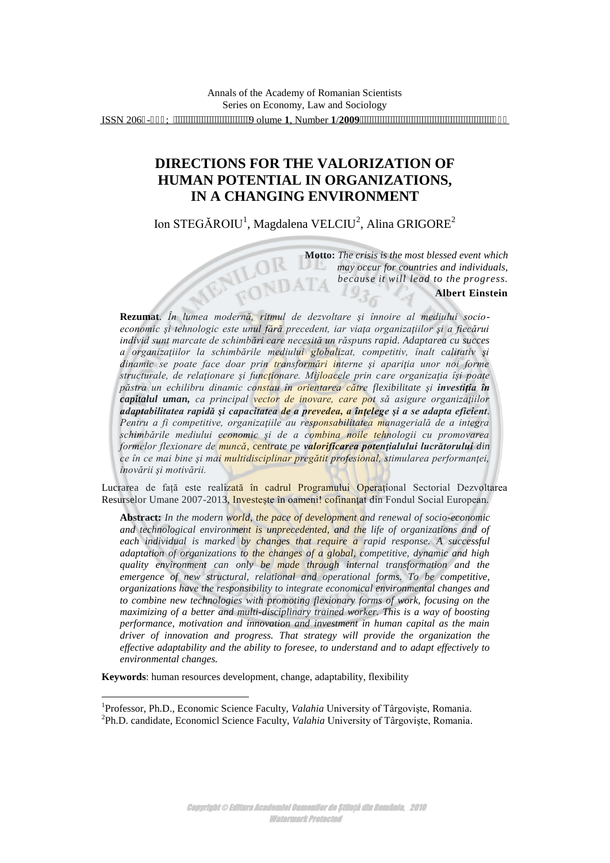# **DIRECTIONS FOR THE VALORIZATION OF HUMAN POTENTIAL IN ORGANIZATIONS, IN A CHANGING ENVIRONMENT**

Ion STEGĂROIU<sup>1</sup>, Magdalena VELCIU<sup>2</sup>, Alina GRIGORE<sup>2</sup>

MENILOI

ROND

**Motto:** *The crisis is the most blessed event which may occur for countries and individuals, because it will lead to the progress.* **Albert Einstein** 

**Rezumat**. *În lumea modernă, ritmul de dezvoltare şi înnoire al mediului socioeconomic şi tehnologic este unul fără precedent, iar viaţa organizaţiilor şi a fiecărui individ sunt marcate de schimbări care necesită un răspuns rapid. Adaptarea cu succes a organizaţiilor la schimbările mediului globalizat, competitiv, înalt calitativ şi dinamic se poate face doar prin transformări interne şi apariţia unor noi forme structurale, de relaţionare şi funcţionare. Mijloacele prin care organizaţia îşi poate păstra un echilibru dinamic constau în orientarea către flexibilitate şi investiţia în capitalul uman, ca principal vector de inovare, care pot să asigure organizaţiilor adaptabilitatea rapidă şi capacitatea de a prevedea, a înţelege şi a se adapta eficient. Pentru a fi competitive, organizaţiile au responsabilitatea managerială de a integra schimbările mediului economic şi de a combina noile tehnologii cu promovarea formelor flexionare de muncă, centrate pe valorificarea potenţialului lucrătorului din ce în ce mai bine şi mai multidisciplinar pregătit profesional, stimularea performanţei, inovării şi motivării.* 

Lucrarea de față este realizată în cadrul Programului Operațional Sectorial Dezvoltarea Resurselor Umane 2007-2013, Investește în oameni! cofinanțat din Fondul Social European.

**Abstract:** *In the modern world, the pace of development and renewal of socio-economic*  and technological environment is unprecedented, and the life of organizations and of *each individual is marked by changes that require a rapid response. A successful adaptation of organizations to the changes of a global, competitive, dynamic and high quality environment can only be made through internal transformation and the emergence of new structural, relational and operational forms. To be competitive, organizations have the responsibility to integrate economical environmental changes and to combine new technologies with promoting flexionary forms of work, focusing on the maximizing of a better and multi-disciplinary trained worker. This is a way of boosting performance, motivation and innovation and investment in human capital as the main driver of innovation and progress. That strategy will provide the organization the effective adaptability and the ability to foresee, to understand and to adapt effectively to environmental changes.*

**Keywords**: human resources development, change, adaptability, flexibility

 $\overline{a}$ 

<sup>&</sup>lt;sup>1</sup>Professor, Ph.D., Economic Science Faculty, *Valahia* University of Târgoviște, Romania. 2 Ph.D. candidate, Economicl Science Faculty, *Valahia* University of Târgovişte, Romania.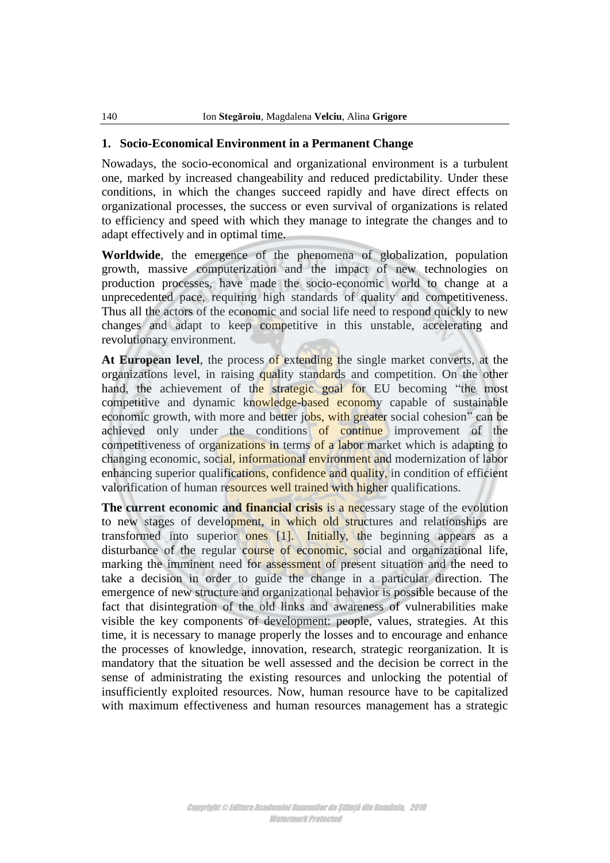#### **1. Socio-Economical Environment in a Permanent Change**

Nowadays, the socio-economical and organizational environment is a turbulent one, marked by increased changeability and reduced predictability. Under these conditions, in which the changes succeed rapidly and have direct effects on organizational processes, the success or even survival of organizations is related to efficiency and speed with which they manage to integrate the changes and to adapt effectively and in optimal time.

**Worldwide**, the emergence of the phenomena of globalization, population growth, massive computerization and the impact of new technologies on production processes, have made the socio-economic world to change at a unprecedented pace, requiring high standards of quality and competitiveness. Thus all the actors of the economic and social life need to respond quickly to new changes and adapt to keep competitive in this unstable, accelerating and revolutionary environment.

**At European level**, the process of extending the single market converts, at the organizations level, in raising quality standards and competition. On the other hand, the achievement of the strategic goal for EU becoming "the most competitive and dynamic knowledge-based economy capable of sustainable economic growth, with more and better jobs, with greater social cohesion" can be achieved only under the conditions of continue improvement of the competitiveness of organizations in terms of a labor market which is adapting to changing economic, social, informational environment and modernization of labor enhancing superior qualifications, confidence and quality, in condition of efficient valorification of human resources well trained with higher qualifications.

**The current economic and financial crisis is a necessary stage of the evolution** to new stages of development, in which old structures and relationships are transformed into superior ones [1]. Initially, the beginning appears as a disturbance of the regular course of economic, social and organizational life, marking the imminent need for assessment of present situation and the need to take a decision in order to guide the change in a particular direction. The emergence of new structure and organizational behavior is possible because of the fact that disintegration of the old links and awareness of vulnerabilities make visible the key components of development: people, values, strategies. At this time, it is necessary to manage properly the losses and to encourage and enhance the processes of knowledge, innovation, research, strategic reorganization. It is mandatory that the situation be well assessed and the decision be correct in the sense of administrating the existing resources and unlocking the potential of insufficiently exploited resources. Now, human resource have to be capitalized with maximum effectiveness and human resources management has a strategic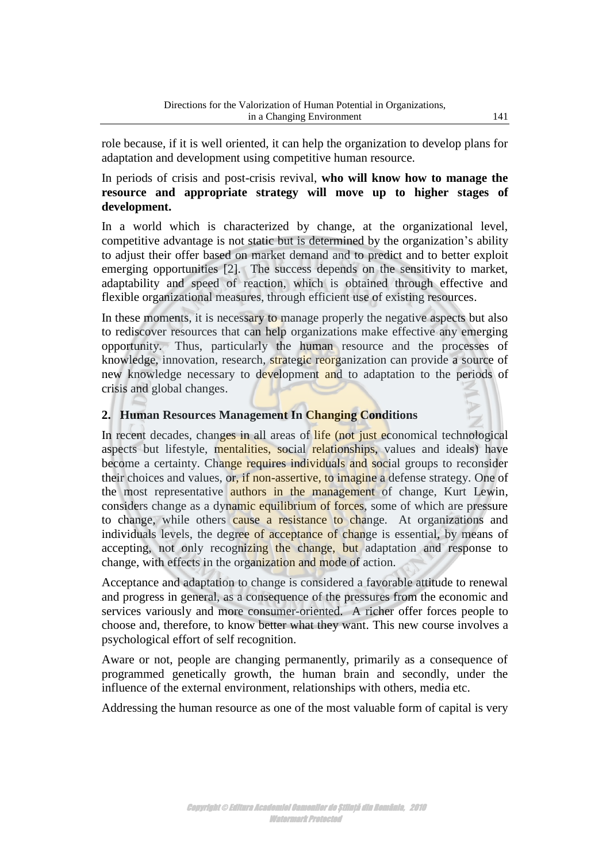role because, if it is well oriented, it can help the organization to develop plans for adaptation and development using competitive human resource.

#### In periods of crisis and post-crisis revival, **who will know how to manage the resource and appropriate strategy will move up to higher stages of development.**

In a world which is characterized by change, at the organizational level, competitive advantage is not static but is determined by the organization's ability to adjust their offer based on market demand and to predict and to better exploit emerging opportunities [2]. The success depends on the sensitivity to market, adaptability and speed of reaction, which is obtained through effective and flexible organizational measures, through efficient use of existing resources.

In these moments, it is necessary to manage properly the negative aspects but also to rediscover resources that can help organizations make effective any emerging opportunity. Thus, particularly the human resource and the processes of knowledge, innovation, research, strategic reorganization can provide a source of new knowledge necessary to development and to adaptation to the periods of crisis and global changes.

## **2. Human Resources Management In Changing Conditions**

In recent decades, changes in all areas of life (not just economical technological aspects but lifestyle, mentalities, social relationships, values and ideals) have become a certainty. Change requires individuals and social groups to reconsider their choices and values, or, if non-assertive, to imagine a defense strategy. One of the most representative authors in the management of change, Kurt Lewin, considers change as a dynamic equilibrium of forces, some of which are pressure to change, while others cause a resistance to change. At organizations and individuals levels, the degree of acceptance of change is essential, by means of accepting, not only recognizing the change, but adaptation and response to change, with effects in the organization and mode of action.

Acceptance and adaptation to change is considered a favorable attitude to renewal and progress in general, as a consequence of the pressures from the economic and services variously and more consumer-oriented. A richer offer forces people to choose and, therefore, to know better what they want. This new course involves a psychological effort of self recognition.

Aware or not, people are changing permanently, primarily as a consequence of programmed genetically growth, the human brain and secondly, under the influence of the external environment, relationships with others, media etc.

Addressing the human resource as one of the most valuable form of capital is very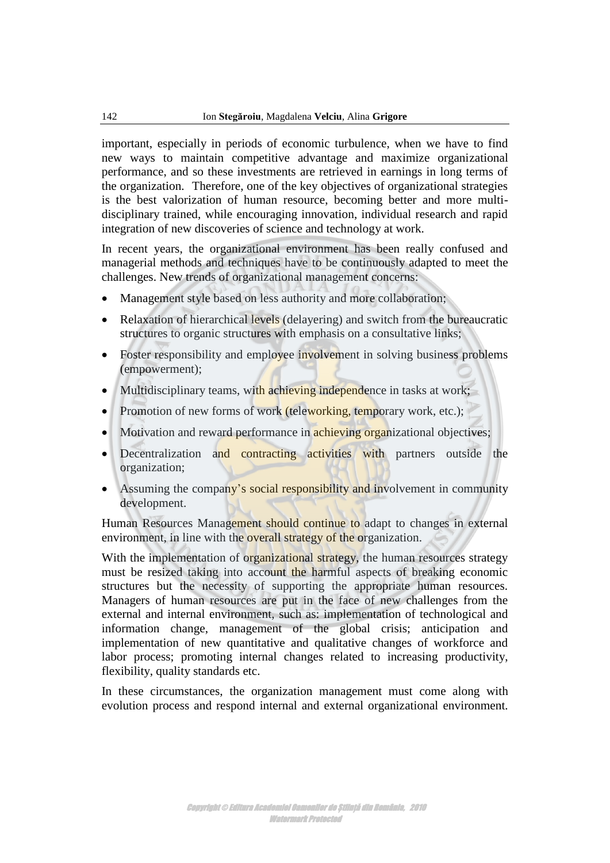important, especially in periods of economic turbulence, when we have to find new ways to maintain competitive advantage and maximize organizational performance, and so these investments are retrieved in earnings in long terms of the organization. Therefore, one of the key objectives of organizational strategies is the best valorization of human resource, becoming better and more multidisciplinary trained, while encouraging innovation, individual research and rapid integration of new discoveries of science and technology at work.

In recent years, the organizational environment has been really confused and managerial methods and techniques have to be continuously adapted to meet the challenges. New trends of organizational management concerns:

- Management style based on less authority and more collaboration;
- Relaxation of hierarchical levels (delayering) and switch from the bureaucratic structures to organic structures with emphasis on a consultative links;
- Foster responsibility and employee involvement in solving business problems (empowerment);
- Multidisciplinary teams, with achieving independence in tasks at work;
- Promotion of new forms of work (teleworking, temporary work, etc.);
- Motivation and reward performance in achieving organizational objectives;
- Decentralization and contracting activities with partners outside the organization;
- Assuming the company's social responsibility and involvement in community development.

Human Resources Management should continue to adapt to changes in external environment, in line with the overall strategy of the organization.

With the implementation of organizational strategy, the human resources strategy must be resized taking into account the harmful aspects of breaking economic structures but the necessity of supporting the appropriate human resources. Managers of human resources are put in the face of new challenges from the external and internal environment, such as: implementation of technological and information change, management of the global crisis; anticipation and implementation of new quantitative and qualitative changes of workforce and labor process; promoting internal changes related to increasing productivity, flexibility, quality standards etc.

In these circumstances, the organization management must come along with evolution process and respond internal and external organizational environment.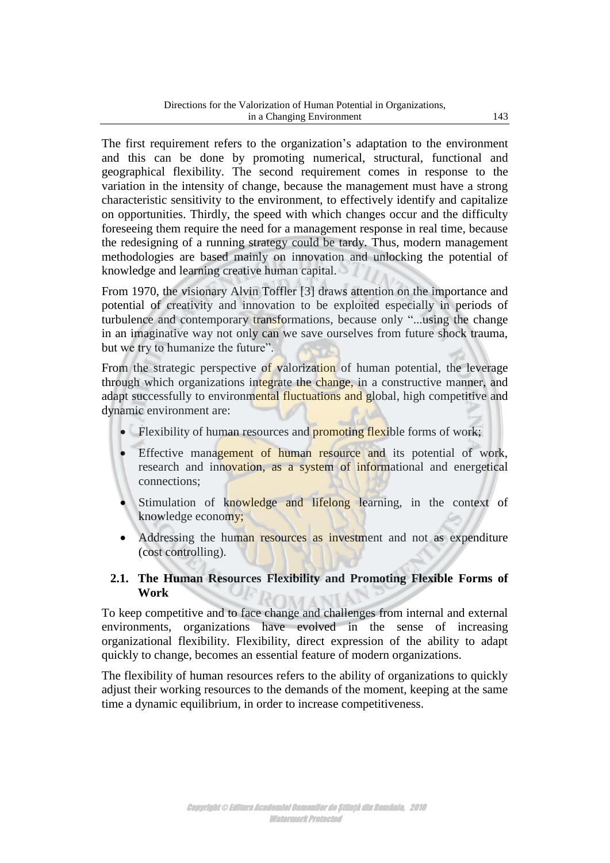The first requirement refers to the organization's adaptation to the environment and this can be done by promoting numerical, structural, functional and geographical flexibility. The second requirement comes in response to the variation in the intensity of change, because the management must have a strong characteristic sensitivity to the environment, to effectively identify and capitalize on opportunities. Thirdly, the speed with which changes occur and the difficulty foreseeing them require the need for a management response in real time, because the redesigning of a running strategy could be tardy. Thus, modern management methodologies are based mainly on innovation and unlocking the potential of knowledge and learning creative human capital.

From 1970, the visionary Alvin Toffler [3] draws attention on the importance and potential of creativity and innovation to be exploited especially in periods of turbulence and contemporary transformations, because only "...using the change in an imaginative way not only can we save ourselves from future shock trauma, but we try to humanize the future".

From the strategic perspective of valorization of human potential, the leverage through which organizations integrate the change, in a constructive manner, and adapt successfully to environmental fluctuations and global, high competitive and dynamic environment are:

- $\bullet$  Flexibility of human resources and **promoting flexi**ble forms of work;
- Effective management of human resource and its potential of work, research and innovation, as a system of informational and energetical connections;
- Stimulation of knowledge and lifelong learning, in the context of knowledge economy;
- Addressing the human resources as investment and not as expenditure (cost controlling).

#### **2.1. The Human Resources Flexibility and Promoting Flexible Forms of Work**  IMANIA

To keep competitive and to face change and challenges from internal and external environments, organizations have evolved in the sense of increasing organizational flexibility. Flexibility, direct expression of the ability to adapt quickly to change, becomes an essential feature of modern organizations.

The flexibility of human resources refers to the ability of organizations to quickly adjust their working resources to the demands of the moment, keeping at the same time a dynamic equilibrium, in order to increase competitiveness.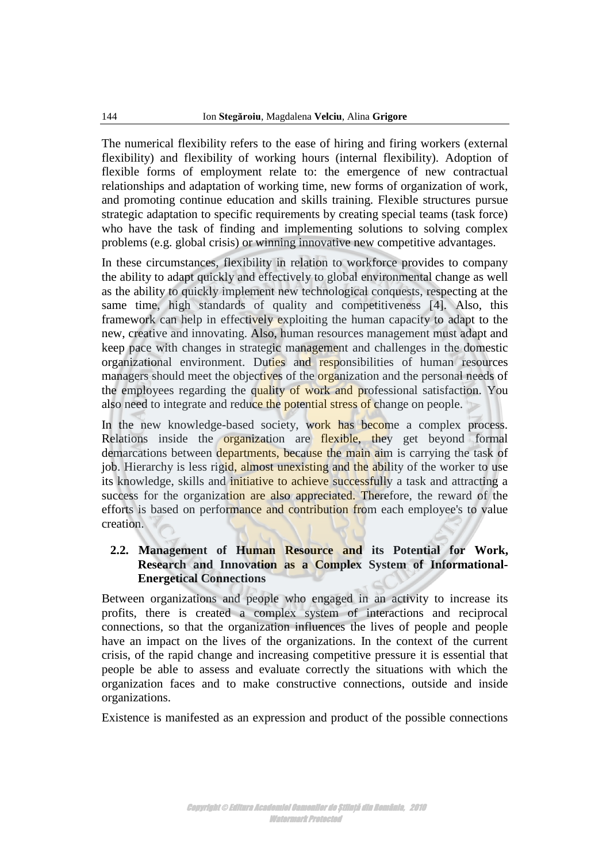The numerical flexibility refers to the ease of hiring and firing workers (external flexibility) and flexibility of working hours (internal flexibility). Adoption of flexible forms of employment relate to: the emergence of new contractual relationships and adaptation of working time, new forms of organization of work, and promoting continue education and skills training. Flexible structures pursue strategic adaptation to specific requirements by creating special teams (task force) who have the task of finding and implementing solutions to solving complex problems (e.g. global crisis) or winning innovative new competitive advantages.

In these circumstances, flexibility in relation to workforce provides to company the ability to adapt quickly and effectively to global environmental change as well as the ability to quickly implement new technological conquests, respecting at the same time, high standards of quality and competitiveness [4]. Also, this framework can help in effectively exploiting the human capacity to adapt to the new, creative and innovating. Also, human resources management must adapt and keep pace with changes in strategic management and challenges in the domestic organizational environment. Duties and responsibilities of human resources managers should meet the objectives of the **organization** and the personal needs of the employees regarding the quality of work and professional satisfaction. You also need to integrate and reduce the potential stress of change on people.

In the new knowledge-based society, work has become a complex process. Relations inside the **organization** are **flexible**, they get beyond formal demarcations between departments, because the main aim is carrying the task of job. Hierarchy is less rigid, almost unexisting and the ability of the worker to use its knowledge, skills and initiative to achieve successfully a task and attracting a success for the organization are also appreciated. Therefore, the reward of the efforts is based on performance and contribution from each employee's to value creation.

#### **2.2. Management of Human Resource and its Potential for Work, Research and Innovation as a Complex System of Informational-Energetical Connections**

Between organizations and people who engaged in an activity to increase its profits, there is created a complex system of interactions and reciprocal connections, so that the organization influences the lives of people and people have an impact on the lives of the organizations. In the context of the current crisis, of the rapid change and increasing competitive pressure it is essential that people be able to assess and evaluate correctly the situations with which the organization faces and to make constructive connections, outside and inside organizations.

Existence is manifested as an expression and product of the possible connections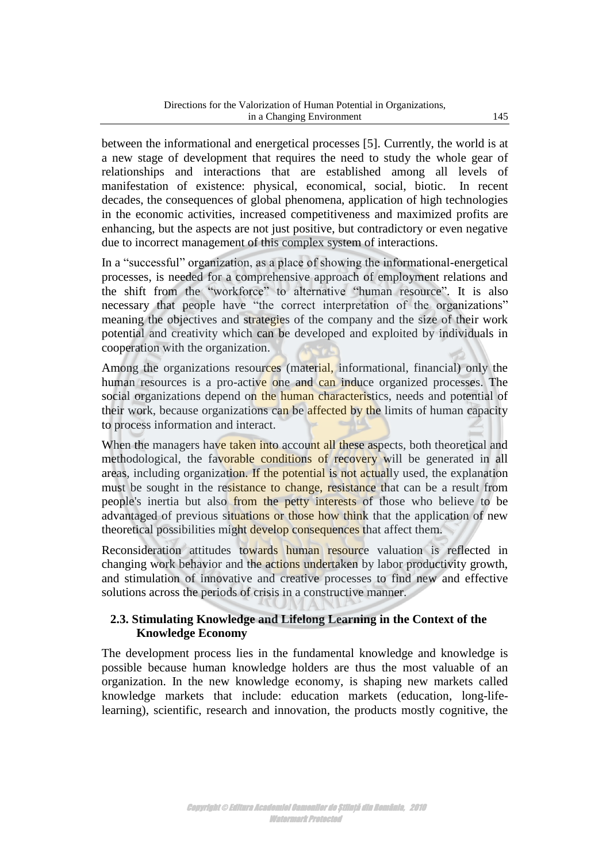between the informational and energetical processes [5]. Currently, the world is at a new stage of development that requires the need to study the whole gear of relationships and interactions that are established among all levels of manifestation of existence: physical, economical, social, biotic. In recent decades, the consequences of global phenomena, application of high technologies in the economic activities, increased competitiveness and maximized profits are enhancing, but the aspects are not just positive, but contradictory or even negative due to incorrect management of this complex system of interactions.

In a "successful" organization, as a place of showing the informational-energetical processes, is needed for a comprehensive approach of employment relations and the shift from the "workforce" to alternative "human resource". It is also necessary that people have "the correct interpretation of the organizations" meaning the objectives and strategies of the company and the size of their work potential and creativity which can be developed and exploited by individuals in cooperation with the organization.

Among the organizations resources (material, informational, financial) only the human resources is a pro-active one and can induce organized processes. The social organizations depend on the human characteristics, needs and potential of their work, because organizations can be affected by the limits of human capacity to process information and interact.

When the managers have taken into account all these aspects, both theoretical and methodological, the favorable conditions of recovery will be generated in all areas, including organization. If the potential is not actually used, the explanation must be sought in the resistance to change, resistance that can be a result from people's inertia but also from the petty interests of those who believe to be advantaged of previous situations or those how think that the application of new theoretical possibilities might develop consequences that affect them.

Reconsideration attitudes towards human resource valuation is reflected in changing work behavior and the actions undertaken by labor productivity growth, and stimulation of innovative and creative processes to find new and effective solutions across the periods of crisis in a constructive manner.

#### **2.3. Stimulating Knowledge and Lifelong Learning in the Context of the Knowledge Economy**

The development process lies in the fundamental knowledge and knowledge is possible because human knowledge holders are thus the most valuable of an organization. In the new knowledge economy, is shaping new markets called knowledge markets that include: education markets (education, long-lifelearning), scientific, research and innovation, the products mostly cognitive, the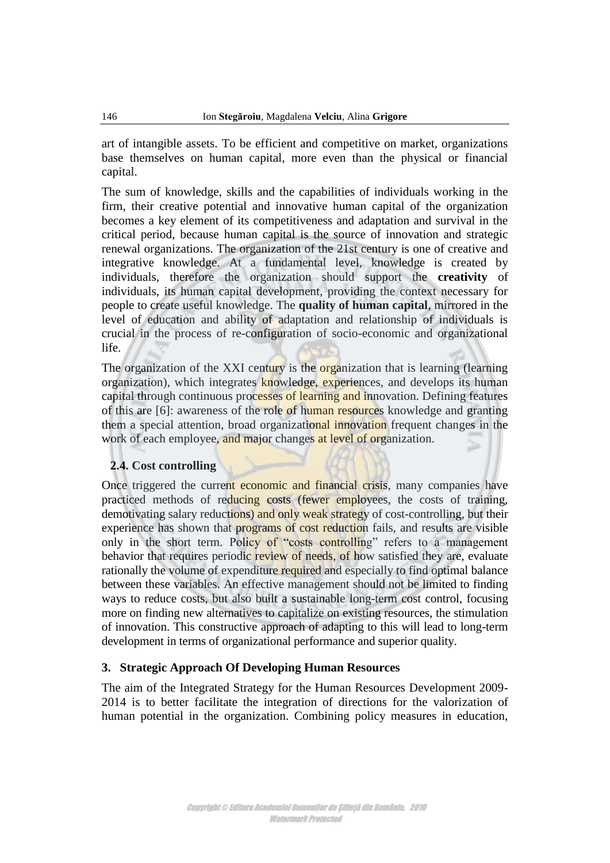art of intangible assets. To be efficient and competitive on market, organizations base themselves on human capital, more even than the physical or financial capital.

The sum of knowledge, skills and the capabilities of individuals working in the firm, their creative potential and innovative human capital of the organization becomes a key element of its competitiveness and adaptation and survival in the critical period, because human capital is the source of innovation and strategic renewal organizations. The organization of the 21st century is one of creative and integrative knowledge. At a fundamental level, knowledge is created by individuals, therefore the organization should support the **creativity** of individuals, its human capital development, providing the context necessary for people to create useful knowledge. The **quality of human capital**, mirrored in the level of education and ability of adaptation and relationship of individuals is crucial in the process of re-configuration of socio-economic and organizational life.

The organization of the XXI century is the organization that is learning (learning organization), which integrates knowledge, experiences, and develops its human capital through continuous processes of learning and innovation. Defining features of this are [6]: awareness of the role of human resources knowledge and granting them a special attention, broad organizational innovation frequent changes in the work of each employee, and major changes at level of organization.

#### **2.4. Cost controlling**

Once triggered the current economic and financial crisis, many companies have practiced methods of reducing costs (fewer employees, the costs of training, demotivating salary reductions) and only weak strategy of cost-controlling, but their experience has shown that **programs** of cost reduction fails, and results are visible only in the short term. Policy of "costs controlling" refers to a management behavior that requires periodic review of needs, of how satisfied they are, evaluate rationally the volume of expenditure required and especially to find optimal balance between these variables. An effective management should not be limited to finding ways to reduce costs, but also built a sustainable long-term cost control, focusing more on finding new alternatives to capitalize on existing resources, the stimulation of innovation. This constructive approach of adapting to this will lead to long-term development in terms of organizational performance and superior quality.

#### **3. Strategic Approach Of Developing Human Resources**

The aim of the Integrated Strategy for the Human Resources Development 2009- 2014 is to better facilitate the integration of directions for the valorization of human potential in the organization. Combining policy measures in education,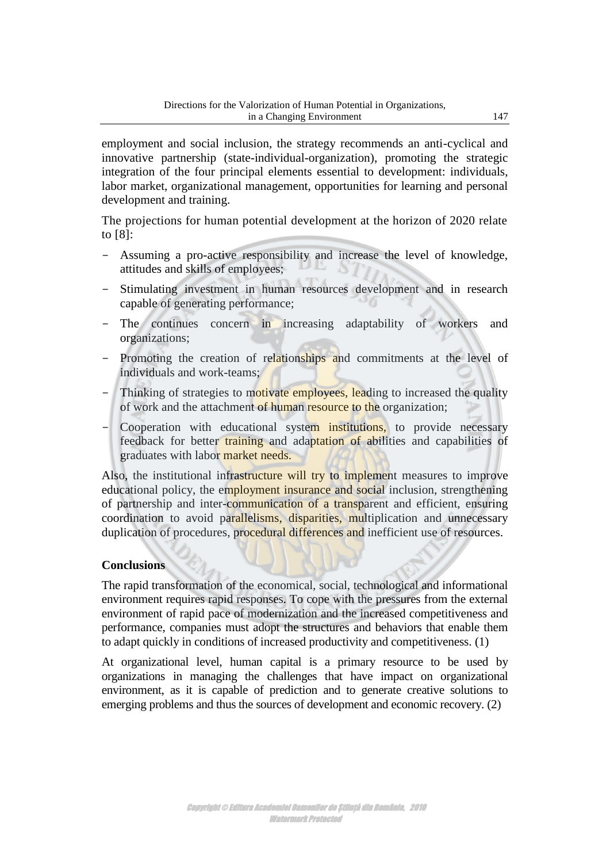employment and social inclusion, the strategy recommends an anti-cyclical and innovative partnership (state-individual-organization), promoting the strategic integration of the four principal elements essential to development: individuals, labor market, organizational management, opportunities for learning and personal development and training.

The projections for human potential development at the horizon of 2020 relate to [8]:

- Assuming a pro-active responsibility and increase the level of knowledge, attitudes and skills of employees;
- Stimulating investment in human resources development and in research capable of generating performance;
- The continues concern in increasing adaptability of workers and organizations;
- Promoting the creation of relationships and commitments at the level of individuals and work-teams;
- Thinking of strategies to motivate employees, leading to increased the quality of work and the attachment of human resource to the organization;
- Cooperation with educational system institutions, to provide necessary feedback for better training and adaptation of abilities and capabilities of graduates with labor market needs.

Also, the institutional infrastructure will try to implement measures to improve educational policy, the employment insurance and social inclusion, strengthening of partnership and inter-communication of a transparent and efficient, ensuring coordination to avoid parallelisms, disparities, multiplication and unnecessary duplication of procedures, procedural differences and inefficient use of resources.

## **Conclusions**

The rapid transformation of the economical, social, technological and informational environment requires rapid responses. To cope with the pressures from the external environment of rapid pace of modernization and the increased competitiveness and performance, companies must adopt the structures and behaviors that enable them to adapt quickly in conditions of increased productivity and competitiveness. (1)

At organizational level, human capital is a primary resource to be used by organizations in managing the challenges that have impact on organizational environment, as it is capable of prediction and to generate creative solutions to emerging problems and thus the sources of development and economic recovery. (2)